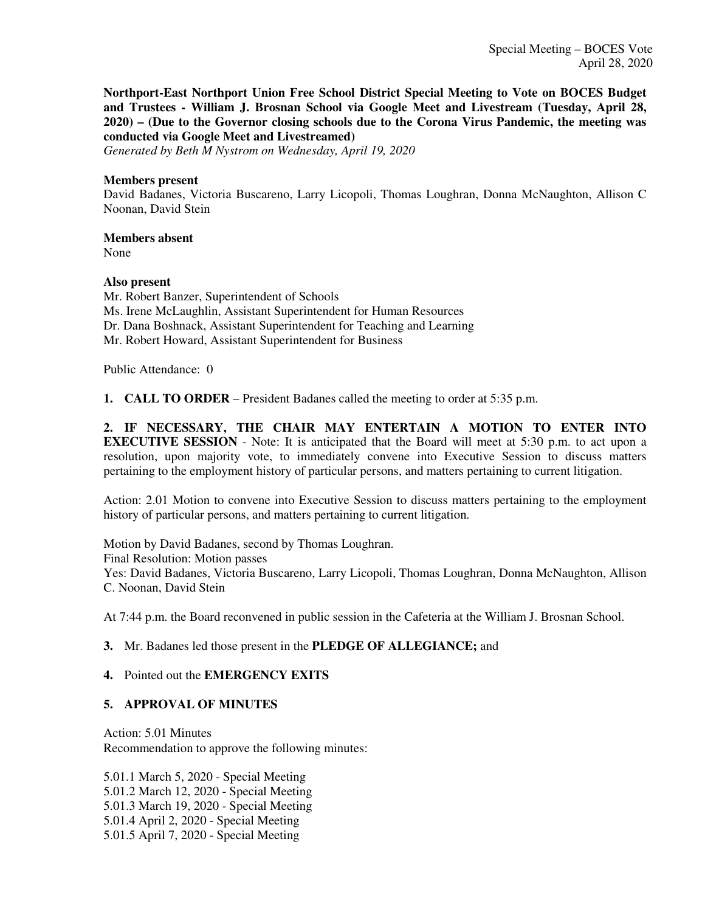**Northport-East Northport Union Free School District Special Meeting to Vote on BOCES Budget and Trustees - William J. Brosnan School via Google Meet and Livestream (Tuesday, April 28, 2020) – (Due to the Governor closing schools due to the Corona Virus Pandemic, the meeting was conducted via Google Meet and Livestreamed)**

*Generated by Beth M Nystrom on Wednesday, April 19, 2020*

#### **Members present**

David Badanes, Victoria Buscareno, Larry Licopoli, Thomas Loughran, Donna McNaughton, Allison C Noonan, David Stein

### **Members absent**

None

### **Also present**

Mr. Robert Banzer, Superintendent of Schools Ms. Irene McLaughlin, Assistant Superintendent for Human Resources Dr. Dana Boshnack, Assistant Superintendent for Teaching and Learning Mr. Robert Howard, Assistant Superintendent for Business

Public Attendance: 0

**1. CALL TO ORDER** – President Badanes called the meeting to order at 5:35 p.m.

**2. IF NECESSARY, THE CHAIR MAY ENTERTAIN A MOTION TO ENTER INTO EXECUTIVE SESSION** - Note: It is anticipated that the Board will meet at 5:30 p.m. to act upon a resolution, upon majority vote, to immediately convene into Executive Session to discuss matters pertaining to the employment history of particular persons, and matters pertaining to current litigation.

Action: 2.01 Motion to convene into Executive Session to discuss matters pertaining to the employment history of particular persons, and matters pertaining to current litigation.

Motion by David Badanes, second by Thomas Loughran. Final Resolution: Motion passes Yes: David Badanes, Victoria Buscareno, Larry Licopoli, Thomas Loughran, Donna McNaughton, Allison C. Noonan, David Stein

At 7:44 p.m. the Board reconvened in public session in the Cafeteria at the William J. Brosnan School.

### **3.** Mr. Badanes led those present in the **PLEDGE OF ALLEGIANCE;** and

### **4.** Pointed out the **EMERGENCY EXITS**

### **5. APPROVAL OF MINUTES**

Action: 5.01 Minutes Recommendation to approve the following minutes:

5.01.1 March 5, 2020 - Special Meeting 5.01.2 March 12, 2020 - Special Meeting 5.01.3 March 19, 2020 - Special Meeting 5.01.4 April 2, 2020 - Special Meeting 5.01.5 April 7, 2020 - Special Meeting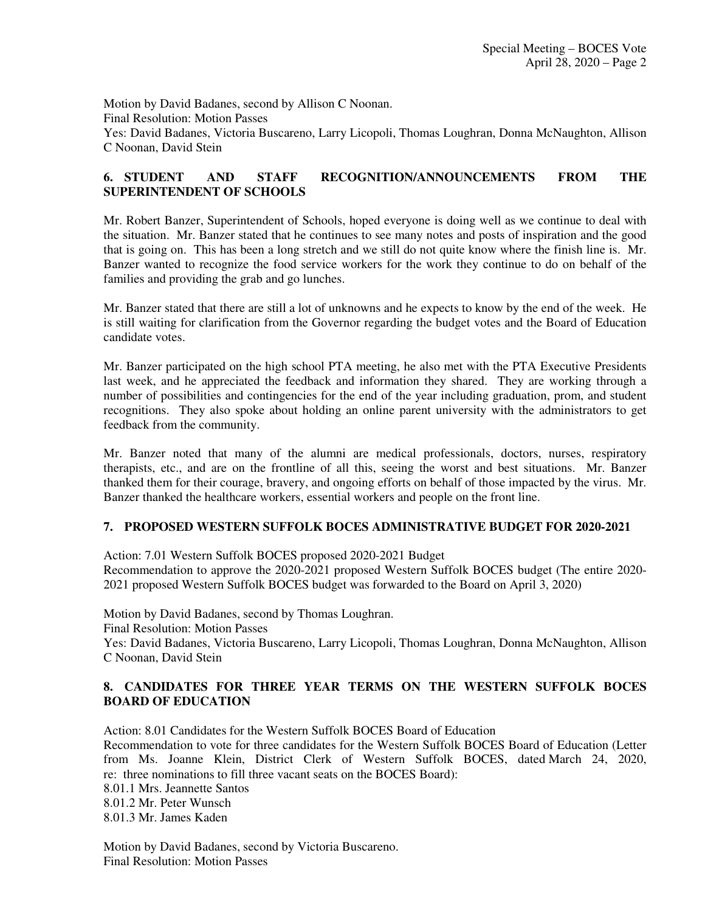Motion by David Badanes, second by Allison C Noonan. Final Resolution: Motion Passes Yes: David Badanes, Victoria Buscareno, Larry Licopoli, Thomas Loughran, Donna McNaughton, Allison C Noonan, David Stein

# **6. STUDENT AND STAFF RECOGNITION/ANNOUNCEMENTS FROM THE SUPERINTENDENT OF SCHOOLS**

Mr. Robert Banzer, Superintendent of Schools, hoped everyone is doing well as we continue to deal with the situation. Mr. Banzer stated that he continues to see many notes and posts of inspiration and the good that is going on. This has been a long stretch and we still do not quite know where the finish line is. Mr. Banzer wanted to recognize the food service workers for the work they continue to do on behalf of the families and providing the grab and go lunches.

Mr. Banzer stated that there are still a lot of unknowns and he expects to know by the end of the week. He is still waiting for clarification from the Governor regarding the budget votes and the Board of Education candidate votes.

Mr. Banzer participated on the high school PTA meeting, he also met with the PTA Executive Presidents last week, and he appreciated the feedback and information they shared. They are working through a number of possibilities and contingencies for the end of the year including graduation, prom, and student recognitions. They also spoke about holding an online parent university with the administrators to get feedback from the community.

Mr. Banzer noted that many of the alumni are medical professionals, doctors, nurses, respiratory therapists, etc., and are on the frontline of all this, seeing the worst and best situations. Mr. Banzer thanked them for their courage, bravery, and ongoing efforts on behalf of those impacted by the virus. Mr. Banzer thanked the healthcare workers, essential workers and people on the front line.

### **7. PROPOSED WESTERN SUFFOLK BOCES ADMINISTRATIVE BUDGET FOR 2020-2021**

Action: 7.01 Western Suffolk BOCES proposed 2020-2021 Budget

Recommendation to approve the 2020-2021 proposed Western Suffolk BOCES budget (The entire 2020- 2021 proposed Western Suffolk BOCES budget was forwarded to the Board on April 3, 2020)

Motion by David Badanes, second by Thomas Loughran.

Final Resolution: Motion Passes

Yes: David Badanes, Victoria Buscareno, Larry Licopoli, Thomas Loughran, Donna McNaughton, Allison C Noonan, David Stein

# **8. CANDIDATES FOR THREE YEAR TERMS ON THE WESTERN SUFFOLK BOCES BOARD OF EDUCATION**

Action: 8.01 Candidates for the Western Suffolk BOCES Board of Education

Recommendation to vote for three candidates for the Western Suffolk BOCES Board of Education (Letter from Ms. Joanne Klein, District Clerk of Western Suffolk BOCES, dated March 24, 2020, re: three nominations to fill three vacant seats on the BOCES Board):

8.01.1 Mrs. Jeannette Santos

8.01.2 Mr. Peter Wunsch

8.01.3 Mr. James Kaden

Motion by David Badanes, second by Victoria Buscareno. Final Resolution: Motion Passes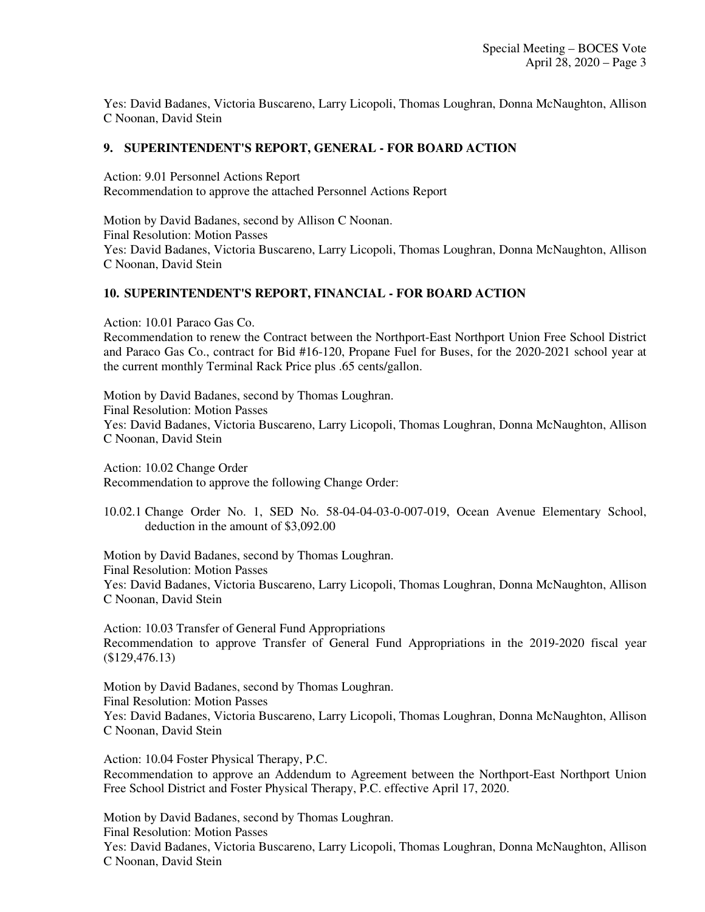Yes: David Badanes, Victoria Buscareno, Larry Licopoli, Thomas Loughran, Donna McNaughton, Allison C Noonan, David Stein

### **9. SUPERINTENDENT'S REPORT, GENERAL - FOR BOARD ACTION**

Action: 9.01 Personnel Actions Report Recommendation to approve the attached Personnel Actions Report

Motion by David Badanes, second by Allison C Noonan. Final Resolution: Motion Passes Yes: David Badanes, Victoria Buscareno, Larry Licopoli, Thomas Loughran, Donna McNaughton, Allison C Noonan, David Stein

# **10. SUPERINTENDENT'S REPORT, FINANCIAL - FOR BOARD ACTION**

Action: 10.01 Paraco Gas Co.

Recommendation to renew the Contract between the Northport-East Northport Union Free School District and Paraco Gas Co., contract for Bid #16-120, Propane Fuel for Buses, for the 2020-2021 school year at the current monthly Terminal Rack Price plus .65 cents/gallon.

Motion by David Badanes, second by Thomas Loughran. Final Resolution: Motion Passes Yes: David Badanes, Victoria Buscareno, Larry Licopoli, Thomas Loughran, Donna McNaughton, Allison C Noonan, David Stein

Action: 10.02 Change Order Recommendation to approve the following Change Order:

10.02.1 Change Order No. 1, SED No. 58-04-04-03-0-007-019, Ocean Avenue Elementary School, deduction in the amount of \$3,092.00

Motion by David Badanes, second by Thomas Loughran. Final Resolution: Motion Passes Yes: David Badanes, Victoria Buscareno, Larry Licopoli, Thomas Loughran, Donna McNaughton, Allison C Noonan, David Stein

Action: 10.03 Transfer of General Fund Appropriations Recommendation to approve Transfer of General Fund Appropriations in the 2019-2020 fiscal year (\$129,476.13)

Motion by David Badanes, second by Thomas Loughran. Final Resolution: Motion Passes Yes: David Badanes, Victoria Buscareno, Larry Licopoli, Thomas Loughran, Donna McNaughton, Allison C Noonan, David Stein

Action: 10.04 Foster Physical Therapy, P.C. Recommendation to approve an Addendum to Agreement between the Northport-East Northport Union Free School District and Foster Physical Therapy, P.C. effective April 17, 2020.

Motion by David Badanes, second by Thomas Loughran. Final Resolution: Motion Passes Yes: David Badanes, Victoria Buscareno, Larry Licopoli, Thomas Loughran, Donna McNaughton, Allison C Noonan, David Stein